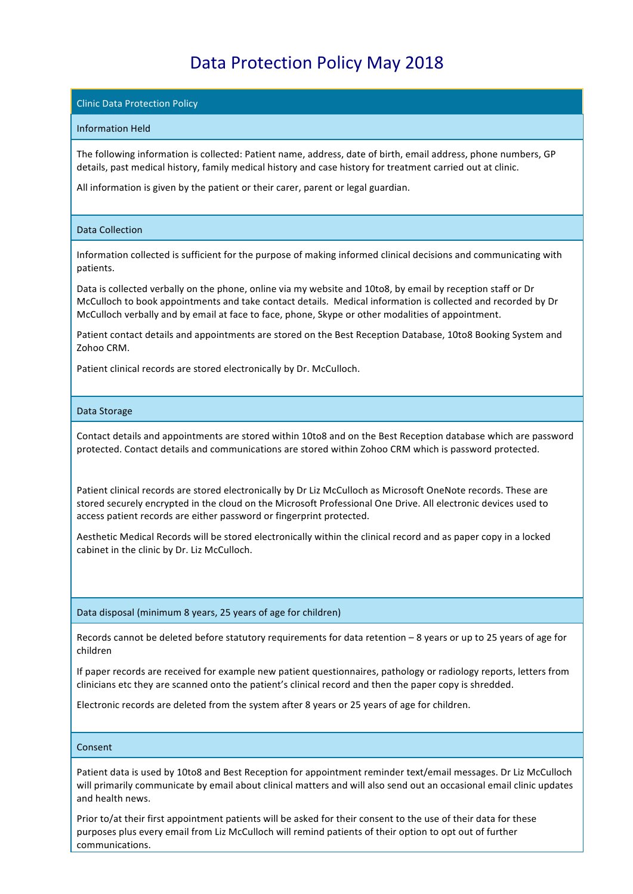# Data Protection Policy May 2018

## **Clinic Data Protection Policy**

## Information Held

The following information is collected: Patient name, address, date of birth, email address, phone numbers, GP details, past medical history, family medical history and case history for treatment carried out at clinic.

All information is given by the patient or their carer, parent or legal guardian.

## Data Collection

Information collected is sufficient for the purpose of making informed clinical decisions and communicating with patients.

Data is collected verbally on the phone, online via my website and 10to8, by email by reception staff or Dr McCulloch to book appointments and take contact details. Medical information is collected and recorded by Dr McCulloch verbally and by email at face to face, phone, Skype or other modalities of appointment.

Patient contact details and appointments are stored on the Best Reception Database, 10to8 Booking System and Zohoo CRM.

Patient clinical records are stored electronically by Dr. McCulloch.

#### Data Storage

Contact details and appointments are stored within 10to8 and on the Best Reception database which are password protected. Contact details and communications are stored within Zohoo CRM which is password protected.

Patient clinical records are stored electronically by Dr Liz McCulloch as Microsoft OneNote records. These are stored securely encrypted in the cloud on the Microsoft Professional One Drive. All electronic devices used to access patient records are either password or fingerprint protected.

Aesthetic Medical Records will be stored electronically within the clinical record and as paper copy in a locked cabinet in the clinic by Dr. Liz McCulloch.

Data disposal (minimum 8 years, 25 years of age for children)

Records cannot be deleted before statutory requirements for data retention  $-$  8 years or up to 25 years of age for children

If paper records are received for example new patient questionnaires, pathology or radiology reports, letters from clinicians etc they are scanned onto the patient's clinical record and then the paper copy is shredded.

Electronic records are deleted from the system after 8 years or 25 years of age for children.

#### Consent

Patient data is used by 10to8 and Best Reception for appointment reminder text/email messages. Dr Liz McCulloch will primarily communicate by email about clinical matters and will also send out an occasional email clinic updates and health news.

Prior to/at their first appointment patients will be asked for their consent to the use of their data for these purposes plus every email from Liz McCulloch will remind patients of their option to opt out of further communications.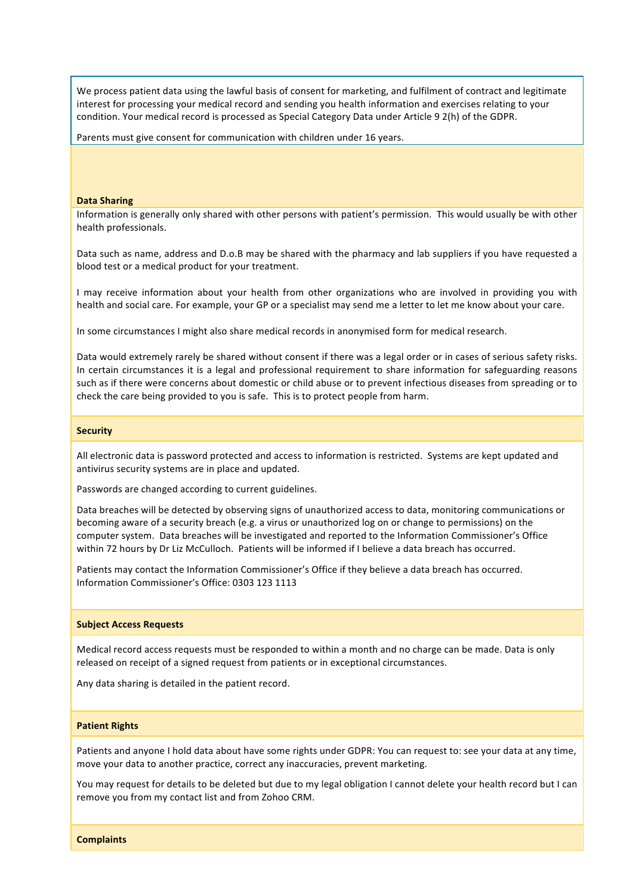We process patient data using the lawful basis of consent for marketing, and fulfilment of contract and legitimate interest for processing your medical record and sending you health information and exercises relating to your condition. Your medical record is processed as Special Category Data under Article 9 2(h) of the GDPR.

Parents must give consent for communication with children under 16 years.

#### **Data Sharing**

Information is generally only shared with other persons with patient's permission. This would usually be with other health professionals.

Data such as name, address and D.o.B may be shared with the pharmacy and lab suppliers if you have requested a blood test or a medical product for your treatment.

I may receive information about your health from other organizations who are involved in providing you with health and social care. For example, your GP or a specialist may send me a letter to let me know about your care.

In some circumstances I might also share medical records in anonymised form for medical research.

Data would extremely rarely be shared without consent if there was a legal order or in cases of serious safety risks. In certain circumstances it is a legal and professional requirement to share information for safeguarding reasons such as if there were concerns about domestic or child abuse or to prevent infectious diseases from spreading or to check the care being provided to you is safe. This is to protect people from harm.

#### **Security**

All electronic data is password protected and access to information is restricted. Systems are kept updated and antivirus security systems are in place and updated.

Passwords are changed according to current guidelines.

Data breaches will be detected by observing signs of unauthorized access to data, monitoring communications or becoming aware of a security breach (e.g. a virus or unauthorized log on or change to permissions) on the computer system. Data breaches will be investigated and reported to the Information Commissioner's Office within 72 hours by Dr Liz McCulloch. Patients will be informed if I believe a data breach has occurred.

Patients may contact the Information Commissioner's Office if they believe a data breach has occurred. Information Commissioner's Office: 0303 123 1113

#### **Subject Access Requests**

Medical record access requests must be responded to within a month and no charge can be made. Data is only released on receipt of a signed request from patients or in exceptional circumstances.

Any data sharing is detailed in the patient record.

#### **Patient Rights**

Patients and anyone I hold data about have some rights under GDPR: You can request to: see your data at any time, move your data to another practice, correct any inaccuracies, prevent marketing.

You may request for details to be deleted but due to my legal obligation I cannot delete your health record but I can remove you from my contact list and from Zohoo CRM.

**Complaints**